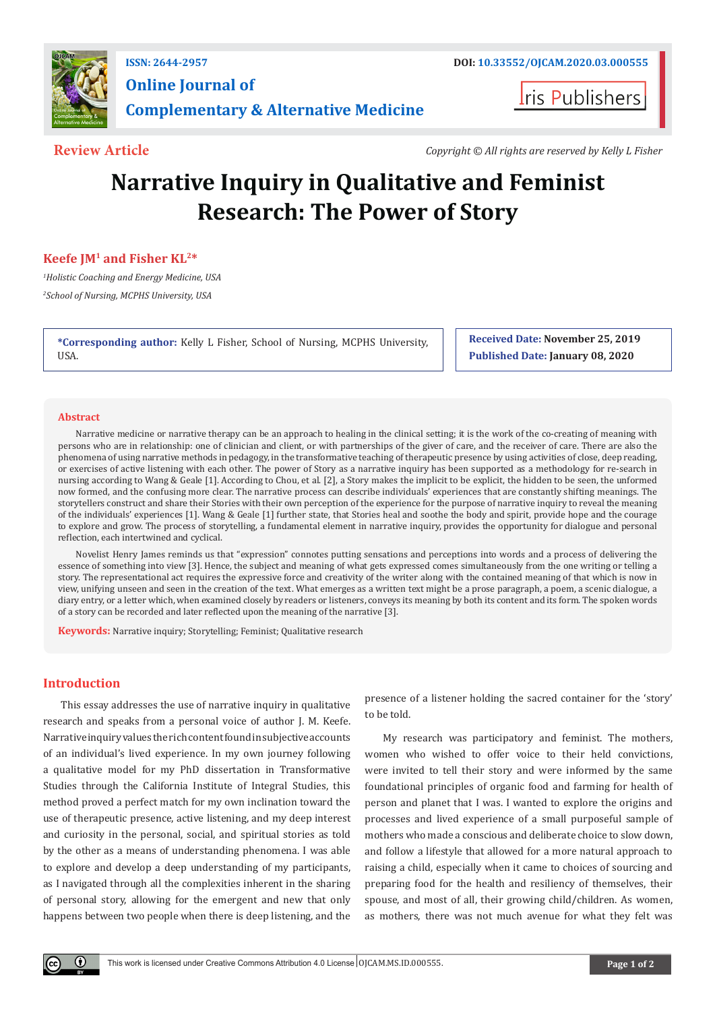

## **ISSN: 2644-2957 DOI: [10.33552/OJCAM.2020.03.000555](http://dx.doi.org/10.33552/OJCAM.2020.03.000555) Online Journal of Complementary & Alternative Medicine**

**Iris Publishers** 

**Review Article** *Copyright © All rights are reserved by Kelly L Fisher*

# **Narrative Inquiry in Qualitative and Feminist Research: The Power of Story**

### **Keefe JM1 and Fisher KL2\***

*1 Holistic Coaching and Energy Medicine, USA 2 School of Nursing, MCPHS University, USA*

**\*Corresponding author:** Kelly L Fisher, School of Nursing, MCPHS University, USA.

**Received Date: November 25, 2019 Published Date: January 08, 2020**

#### **Abstract**

Narrative medicine or narrative therapy can be an approach to healing in the clinical setting; it is the work of the co-creating of meaning with persons who are in relationship: one of clinician and client, or with partnerships of the giver of care, and the receiver of care. There are also the phenomena of using narrative methods in pedagogy, in the transformative teaching of therapeutic presence by using activities of close, deep reading, or exercises of active listening with each other. The power of Story as a narrative inquiry has been supported as a methodology for re-search in nursing according to Wang & Geale [1]. According to Chou, et al. [2], a Story makes the implicit to be explicit, the hidden to be seen, the unformed now formed, and the confusing more clear. The narrative process can describe individuals' experiences that are constantly shifting meanings. The storytellers construct and share their Stories with their own perception of the experience for the purpose of narrative inquiry to reveal the meaning of the individuals' experiences [1]. Wang & Geale [1] further state, that Stories heal and soothe the body and spirit, provide hope and the courage to explore and grow. The process of storytelling, a fundamental element in narrative inquiry, provides the opportunity for dialogue and personal reflection, each intertwined and cyclical.

Novelist Henry James reminds us that "expression" connotes putting sensations and perceptions into words and a process of delivering the essence of something into view [3]. Hence, the subject and meaning of what gets expressed comes simultaneously from the one writing or telling a story. The representational act requires the expressive force and creativity of the writer along with the contained meaning of that which is now in view, unifying unseen and seen in the creation of the text. What emerges as a written text might be a prose paragraph, a poem, a scenic dialogue, a diary entry, or a letter which, when examined closely by readers or listeners, conveys its meaning by both its content and its form. The spoken words of a story can be recorded and later reflected upon the meaning of the narrative [3].

**Keywords:** Narrative inquiry; Storytelling; Feminist; Qualitative research

#### **Introduction**

This essay addresses the use of narrative inquiry in qualitative research and speaks from a personal voice of author J. M. Keefe. Narrative inquiry values the rich content found in subjective accounts of an individual's lived experience. In my own journey following a qualitative model for my PhD dissertation in Transformative Studies through the California Institute of Integral Studies, this method proved a perfect match for my own inclination toward the use of therapeutic presence, active listening, and my deep interest and curiosity in the personal, social, and spiritual stories as told by the other as a means of understanding phenomena. I was able to explore and develop a deep understanding of my participants, as I navigated through all the complexities inherent in the sharing of personal story, allowing for the emergent and new that only happens between two people when there is deep listening, and the

presence of a listener holding the sacred container for the 'story' to be told.

My research was participatory and feminist. The mothers, women who wished to offer voice to their held convictions, were invited to tell their story and were informed by the same foundational principles of organic food and farming for health of person and planet that I was. I wanted to explore the origins and processes and lived experience of a small purposeful sample of mothers who made a conscious and deliberate choice to slow down, and follow a lifestyle that allowed for a more natural approach to raising a child, especially when it came to choices of sourcing and preparing food for the health and resiliency of themselves, their spouse, and most of all, their growing child/children. As women, as mothers, there was not much avenue for what they felt was